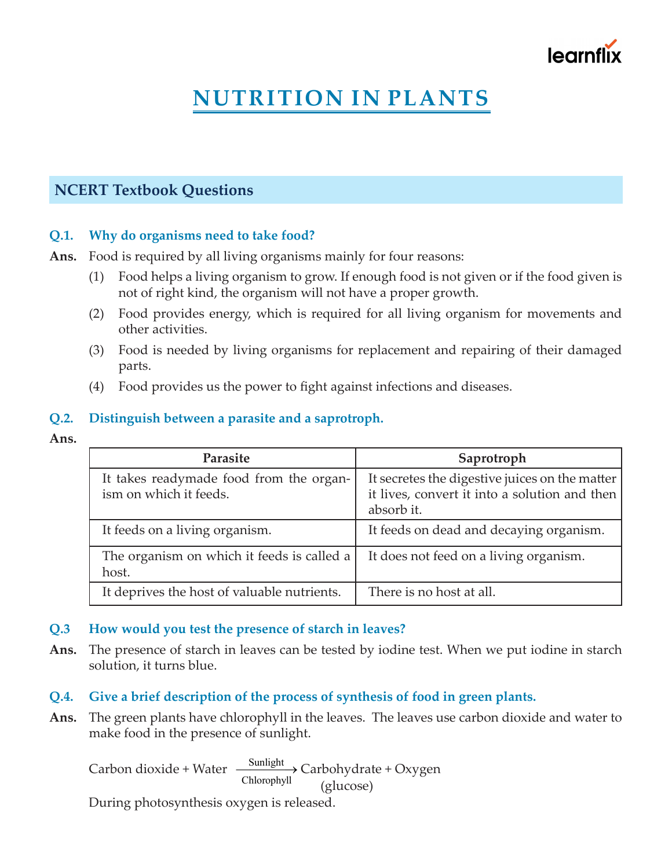

# **NUTRITION IN PLANTS**

# **NCERT Textbook Questions**

# **Q.1. Why do organisms need to take food?**

**Ans.** Food is required by all living organisms mainly for four reasons:

- (1) Food helps a living organism to grow. If enough food is not given or if the food given is not of right kind, the organism will not have a proper growth.
- (2) Food provides energy, which is required for all living organism for movements and other activities.
- (3) Food is needed by living organisms for replacement and repairing of their damaged parts.
- (4) Food provides us the power to fight against infections and diseases.

### **Q.2. Distinguish between a parasite and a saprotroph.**

**Ans.**

| Parasite                                                          | Saprotroph                                                                                                    |
|-------------------------------------------------------------------|---------------------------------------------------------------------------------------------------------------|
| It takes readymade food from the organ-<br>ism on which it feeds. | It secretes the digestive juices on the matter<br>it lives, convert it into a solution and then<br>absorb it. |
| It feeds on a living organism.                                    | It feeds on dead and decaying organism.                                                                       |
| The organism on which it feeds is called a<br>host.               | It does not feed on a living organism.                                                                        |
| It deprives the host of valuable nutrients.                       | There is no host at all.                                                                                      |

#### **Q.3 How would you test the presence of starch in leaves?**

**Ans.** The presence of starch in leaves can be tested by iodine test. When we put iodine in starch solution, it turns blue.

# **Q.4. Give a brief description of the process of synthesis of food in green plants.**

**Ans.** The green plants have chlorophyll in the leaves. The leaves use carbon dioxide and water to make food in the presence of sunlight.

Carbon dioxide + Water  $\frac{\text{Sunlight}}{\text{} }$ Chlorophyll <u>Sunngnt</u>→ Carbohydrate + Oxygen (glucose)

During photosynthesis oxygen is released.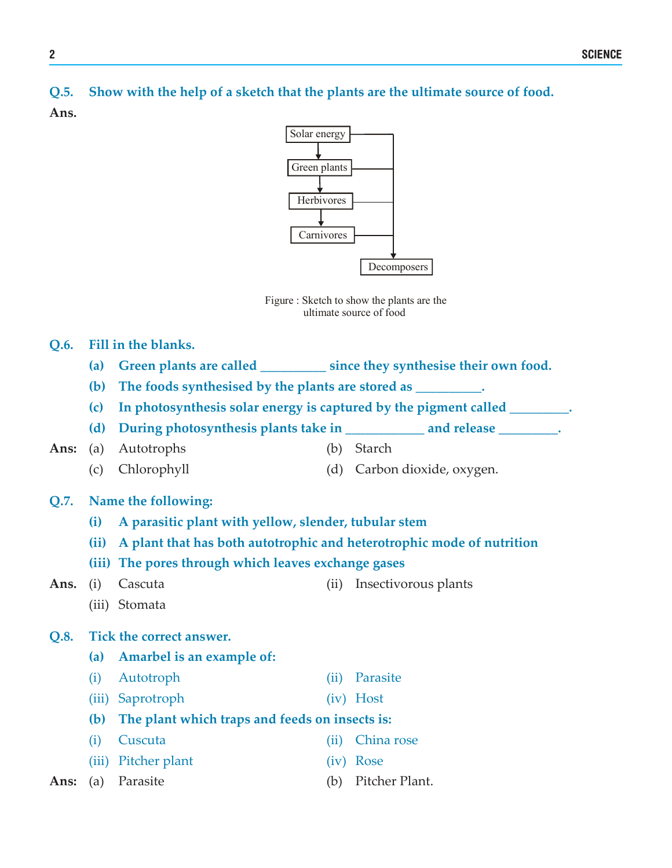**Q.5. Show with the help of a sketch that the plants are the ultimate source of food.**

**Ans.**



Figure : Sketch to show the plants are the ultimate source of food

#### **Q.6. Fill in the blanks.**

- **(a) Green plants are called \_\_\_\_\_\_\_\_\_\_ since they synthesise their own food.**
- **(b) The foods synthesised by the plants are stored as \_\_\_\_\_\_\_\_\_\_.**
- **(c) In photosynthesis solar energy is captured by the pigment called \_\_\_\_\_\_\_\_\_.**
- **(d) During photosynthesis plants take in \_\_\_\_\_\_\_\_\_\_\_\_ and release \_\_\_\_\_\_\_\_\_.**
- **Ans:** (a) Autotrophs (b) Starch
	-
	- (c) Chlorophyll (d) Carbon dioxide, oxygen.

#### **Q.7. Name the following:**

- **(i) A parasitic plant with yellow, slender, tubular stem**
- **(ii) A plant that has both autotrophic and heterotrophic mode of nutrition**
- **(iii) The pores through which leaves exchange gases**
- 
- Ans. (i) Cascuta (ii) Insectivorous plants
	- (iii) Stomata

#### **Q.8. Tick the correct answer.**

- **(a) Amarbel is an example of:**
- (i) Autotroph (ii) Parasite
- (iii) Saprotroph (iv) Host
- **(b) The plant which traps and feeds on insects is:**
- (i) Cuscuta (ii) China rose
- (iii) Pitcher plant (iv) Rose
- Ans: (a) Parasite (b) Pitcher Plant.